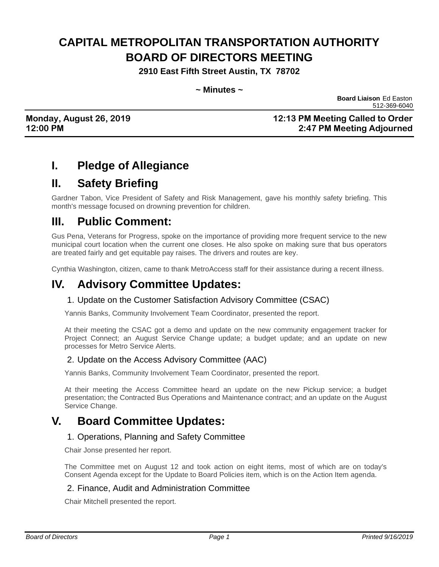# **CAPITAL METROPOLITAN TRANSPORTATION AUTHORITY BOARD OF DIRECTORS MEETING**

**2910 East Fifth Street Austin, TX 78702**

#### **~ Minutes ~**

 **Board Liaison** Ed Easton 512-369-6040

### **Monday, August 26, 2019 12:13 PM Meeting Called to Order 12:00 PM 2:47 PM Meeting Adjourned**

### **I. Pledge of Allegiance**

### **II. Safety Briefing**

Gardner Tabon, Vice President of Safety and Risk Management, gave his monthly safety briefing. This month's message focused on drowning prevention for children.

### **III. Public Comment:**

Gus Pena, Veterans for Progress, spoke on the importance of providing more frequent service to the new municipal court location when the current one closes. He also spoke on making sure that bus operators are treated fairly and get equitable pay raises. The drivers and routes are key.

Cynthia Washington, citizen, came to thank MetroAccess staff for their assistance during a recent illness.

### **IV. Advisory Committee Updates:**

#### 1. Update on the Customer Satisfaction Advisory Committee (CSAC)

Yannis Banks, Community Involvement Team Coordinator, presented the report.

At their meeting the CSAC got a demo and update on the new community engagement tracker for Project Connect; an August Service Change update; a budget update; and an update on new processes for Metro Service Alerts.

#### 2. Update on the Access Advisory Committee (AAC)

Yannis Banks, Community Involvement Team Coordinator, presented the report.

At their meeting the Access Committee heard an update on the new Pickup service; a budget presentation; the Contracted Bus Operations and Maintenance contract; and an update on the August Service Change.

### **V. Board Committee Updates:**

#### 1. Operations, Planning and Safety Committee

Chair Jonse presented her report.

The Committee met on August 12 and took action on eight items, most of which are on today's Consent Agenda except for the Update to Board Policies item, which is on the Action Item agenda.

#### 2. Finance, Audit and Administration Committee

Chair Mitchell presented the report.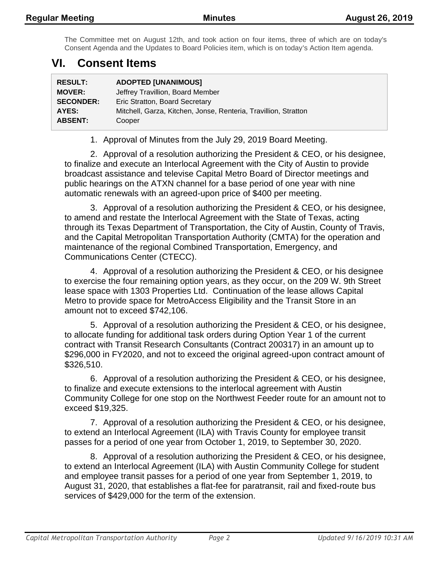The Committee met on August 12th, and took action on four items, three of which are on today's Consent Agenda and the Updates to Board Policies item, which is on today's Action Item agenda.

### **VI. Consent Items**

| <b>RESULT:</b>   | <b>ADOPTED [UNANIMOUS]</b>                                      |
|------------------|-----------------------------------------------------------------|
| <b>MOVER:</b>    | Jeffrey Travillion, Board Member                                |
| <b>SECONDER:</b> | Eric Stratton, Board Secretary                                  |
| AYES:            | Mitchell, Garza, Kitchen, Jonse, Renteria, Travillion, Stratton |
| <b>ABSENT:</b>   | Cooper                                                          |

1. Approval of Minutes from the July 29, 2019 Board Meeting.

2. Approval of a resolution authorizing the President & CEO, or his designee, to finalize and execute an Interlocal Agreement with the City of Austin to provide broadcast assistance and televise Capital Metro Board of Director meetings and public hearings on the ATXN channel for a base period of one year with nine automatic renewals with an agreed-upon price of \$400 per meeting.

3. Approval of a resolution authorizing the President & CEO, or his designee, to amend and restate the Interlocal Agreement with the State of Texas, acting through its Texas Department of Transportation, the City of Austin, County of Travis, and the Capital Metropolitan Transportation Authority (CMTA) for the operation and maintenance of the regional Combined Transportation, Emergency, and Communications Center (CTECC).

4. Approval of a resolution authorizing the President & CEO, or his designee to exercise the four remaining option years, as they occur, on the 209 W. 9th Street lease space with 1303 Properties Ltd. Continuation of the lease allows Capital Metro to provide space for MetroAccess Eligibility and the Transit Store in an amount not to exceed \$742,106.

5. Approval of a resolution authorizing the President & CEO, or his designee, to allocate funding for additional task orders during Option Year 1 of the current contract with Transit Research Consultants (Contract 200317) in an amount up to \$296,000 in FY2020, and not to exceed the original agreed-upon contract amount of \$326,510.

6. Approval of a resolution authorizing the President & CEO, or his designee, to finalize and execute extensions to the interlocal agreement with Austin Community College for one stop on the Northwest Feeder route for an amount not to exceed \$19,325.

7. Approval of a resolution authorizing the President & CEO, or his designee, to extend an Interlocal Agreement (ILA) with Travis County for employee transit passes for a period of one year from October 1, 2019, to September 30, 2020.

8. Approval of a resolution authorizing the President & CEO, or his designee, to extend an Interlocal Agreement (ILA) with Austin Community College for student and employee transit passes for a period of one year from September 1, 2019, to August 31, 2020, that establishes a flat-fee for paratransit, rail and fixed-route bus services of \$429,000 for the term of the extension.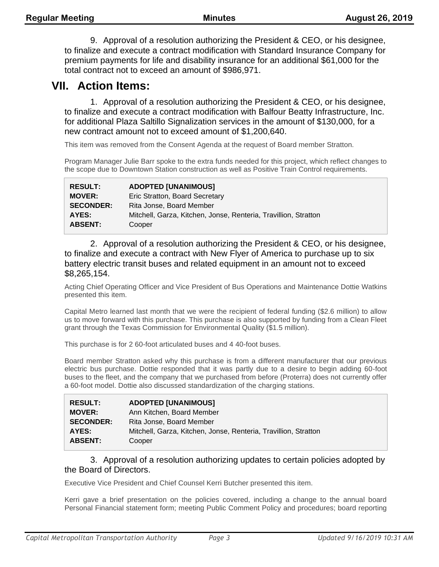9. Approval of a resolution authorizing the President & CEO, or his designee, to finalize and execute a contract modification with Standard Insurance Company for premium payments for life and disability insurance for an additional \$61,000 for the total contract not to exceed an amount of \$986,971.

### **VII. Action Items:**

1. Approval of a resolution authorizing the President & CEO, or his designee, to finalize and execute a contract modification with Balfour Beatty Infrastructure, Inc. for additional Plaza Saltillo Signalization services in the amount of \$130,000, for a new contract amount not to exceed amount of \$1,200,640.

This item was removed from the Consent Agenda at the request of Board member Stratton.

Program Manager Julie Barr spoke to the extra funds needed for this project, which reflect changes to the scope due to Downtown Station construction as well as Positive Train Control requirements.

| <b>RESULT:</b>   | <b>ADOPTED [UNANIMOUS]</b>                                      |
|------------------|-----------------------------------------------------------------|
| <b>MOVER:</b>    | Eric Stratton, Board Secretary                                  |
| <b>SECONDER:</b> | Rita Jonse, Board Member                                        |
| AYES:            | Mitchell, Garza, Kitchen, Jonse, Renteria, Travillion, Stratton |
| <b>ABSENT:</b>   | Cooper                                                          |

2. Approval of a resolution authorizing the President & CEO, or his designee, to finalize and execute a contract with New Flyer of America to purchase up to six battery electric transit buses and related equipment in an amount not to exceed \$8,265,154.

Acting Chief Operating Officer and Vice President of Bus Operations and Maintenance Dottie Watkins presented this item.

Capital Metro learned last month that we were the recipient of federal funding (\$2.6 million) to allow us to move forward with this purchase. This purchase is also supported by funding from a Clean Fleet grant through the Texas Commission for Environmental Quality (\$1.5 million).

This purchase is for 2 60-foot articulated buses and 4 40-foot buses.

Board member Stratton asked why this purchase is from a different manufacturer that our previous electric bus purchase. Dottie responded that it was partly due to a desire to begin adding 60-foot buses to the fleet, and the company that we purchased from before (Proterra) does not currently offer a 60-foot model. Dottie also discussed standardization of the charging stations.

| <b>RESULT:</b>   | <b>ADOPTED [UNANIMOUS]</b>                                      |
|------------------|-----------------------------------------------------------------|
| <b>MOVER:</b>    | Ann Kitchen, Board Member                                       |
| <b>SECONDER:</b> | Rita Jonse, Board Member                                        |
| AYES:            | Mitchell, Garza, Kitchen, Jonse, Renteria, Travillion, Stratton |
| <b>ABSENT:</b>   | Cooper                                                          |

#### 3. Approval of a resolution authorizing updates to certain policies adopted by the Board of Directors.

Executive Vice President and Chief Counsel Kerri Butcher presented this item.

Kerri gave a brief presentation on the policies covered, including a change to the annual board Personal Financial statement form; meeting Public Comment Policy and procedures; board reporting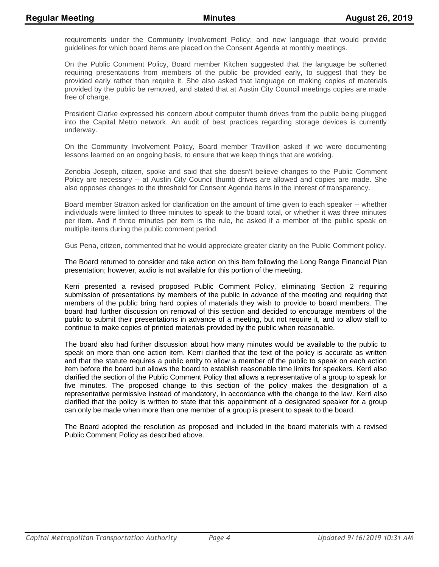requirements under the Community Involvement Policy; and new language that would provide guidelines for which board items are placed on the Consent Agenda at monthly meetings.

On the Public Comment Policy, Board member Kitchen suggested that the language be softened requiring presentations from members of the public be provided early, to suggest that they be provided early rather than require it. She also asked that language on making copies of materials provided by the public be removed, and stated that at Austin City Council meetings copies are made free of charge.

President Clarke expressed his concern about computer thumb drives from the public being plugged into the Capital Metro network. An audit of best practices regarding storage devices is currently underway.

On the Community Involvement Policy, Board member Travillion asked if we were documenting lessons learned on an ongoing basis, to ensure that we keep things that are working.

Zenobia Joseph, citizen, spoke and said that she doesn't believe changes to the Public Comment Policy are necessary -- at Austin City Council thumb drives are allowed and copies are made. She also opposes changes to the threshold for Consent Agenda items in the interest of transparency.

Board member Stratton asked for clarification on the amount of time given to each speaker -- whether individuals were limited to three minutes to speak to the board total, or whether it was three minutes per item. And if three minutes per item is the rule, he asked if a member of the public speak on multiple items during the public comment period.

Gus Pena, citizen, commented that he would appreciate greater clarity on the Public Comment policy.

The Board returned to consider and take action on this item following the Long Range Financial Plan presentation; however, audio is not available for this portion of the meeting.

Kerri presented a revised proposed Public Comment Policy, eliminating Section 2 requiring submission of presentations by members of the public in advance of the meeting and requiring that members of the public bring hard copies of materials they wish to provide to board members. The board had further discussion on removal of this section and decided to encourage members of the public to submit their presentations in advance of a meeting, but not require it, and to allow staff to continue to make copies of printed materials provided by the public when reasonable.

The board also had further discussion about how many minutes would be available to the public to speak on more than one action item. Kerri clarified that the text of the policy is accurate as written and that the statute requires a public entity to allow a member of the public to speak on each action item before the board but allows the board to establish reasonable time limits for speakers. Kerri also clarified the section of the Public Comment Policy that allows a representative of a group to speak for five minutes. The proposed change to this section of the policy makes the designation of a representative permissive instead of mandatory, in accordance with the change to the law. Kerri also clarified that the policy is written to state that this appointment of a designated speaker for a group can only be made when more than one member of a group is present to speak to the board.

The Board adopted the resolution as proposed and included in the board materials with a revised Public Comment Policy as described above.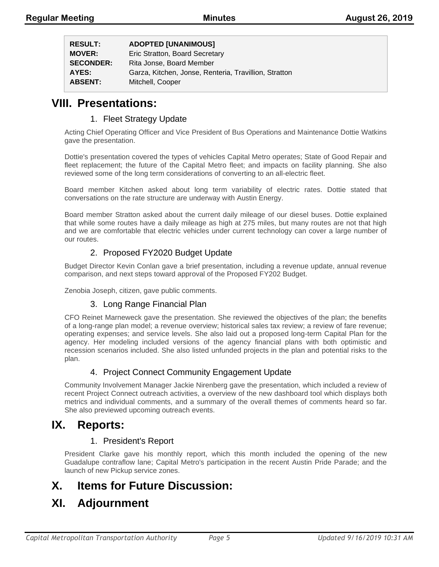| <b>RESULT:</b>   | <b>ADOPTED [UNANIMOUS]</b>                            |
|------------------|-------------------------------------------------------|
| <b>MOVER:</b>    | Eric Stratton, Board Secretary                        |
| <b>SECONDER:</b> | Rita Jonse, Board Member                              |
| AYES:            | Garza, Kitchen, Jonse, Renteria, Travillion, Stratton |
| <b>ABSENT:</b>   | Mitchell, Cooper                                      |

### **VIII. Presentations:**

#### 1. Fleet Strategy Update

Acting Chief Operating Officer and Vice President of Bus Operations and Maintenance Dottie Watkins gave the presentation.

Dottie's presentation covered the types of vehicles Capital Metro operates; State of Good Repair and fleet replacement; the future of the Capital Metro fleet; and impacts on facility planning. She also reviewed some of the long term considerations of converting to an all-electric fleet.

Board member Kitchen asked about long term variability of electric rates. Dottie stated that conversations on the rate structure are underway with Austin Energy.

Board member Stratton asked about the current daily mileage of our diesel buses. Dottie explained that while some routes have a daily mileage as high at 275 miles, but many routes are not that high and we are comfortable that electric vehicles under current technology can cover a large number of our routes.

#### 2. Proposed FY2020 Budget Update

Budget Director Kevin Conlan gave a brief presentation, including a revenue update, annual revenue comparison, and next steps toward approval of the Proposed FY202 Budget.

Zenobia Joseph, citizen, gave public comments.

#### 3. Long Range Financial Plan

CFO Reinet Marneweck gave the presentation. She reviewed the objectives of the plan; the benefits of a long-range plan model; a revenue overview; historical sales tax review; a review of fare revenue; operating expenses; and service levels. She also laid out a proposed long-term Capital Plan for the agency. Her modeling included versions of the agency financial plans with both optimistic and recession scenarios included. She also listed unfunded projects in the plan and potential risks to the plan.

#### 4. Project Connect Community Engagement Update

Community Involvement Manager Jackie Nirenberg gave the presentation, which included a review of recent Project Connect outreach activities, a overview of the new dashboard tool which displays both metrics and individual comments, and a summary of the overall themes of comments heard so far. She also previewed upcoming outreach events.

### **IX. Reports:**

#### 1. President's Report

President Clarke gave his monthly report, which this month included the opening of the new Guadalupe contraflow lane; Capital Metro's participation in the recent Austin Pride Parade; and the launch of new Pickup service zones.

### **X. Items for Future Discussion:**

### **XI. Adjournment**